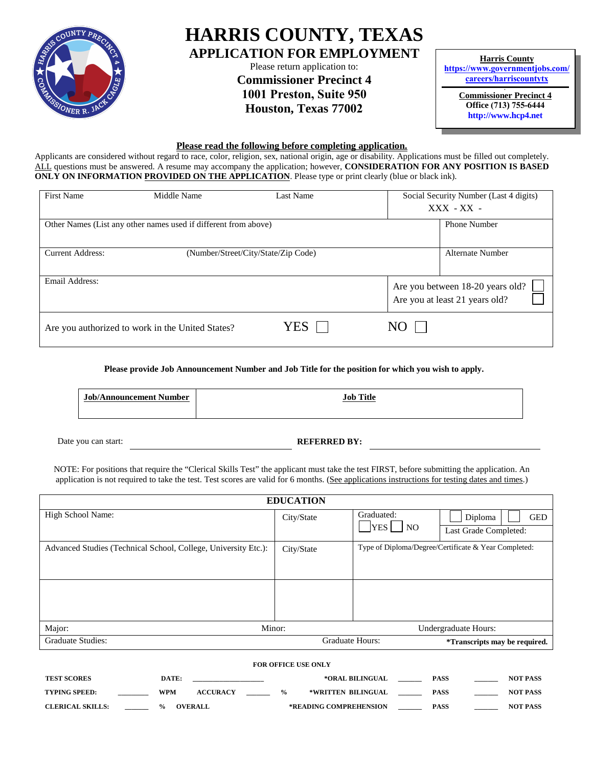

# **HARRIS COUNTY, TEXAS APPLICATION FOR EMPLOYMENT**

Please return application to: **Commissioner Precinct 4 1001 Preston, Suite 950 Houston, Texas 77002**

**Harris County https://www.governmentjobs.com/ [careers/harriscountytx](http://www.hctx.net/hrrm)**

> **Commissioner Precinct 4 Office (713) 755-6444 http://www.hcp4.net**

#### **Please read the following before completing application.**

Applicants are considered without regard to race, color, religion, sex, national origin, age or disability. Applications must be filled out completely. ALL questions must be answered. A resume may accompany the application; however, **CONSIDERATION FOR ANY POSITION IS BASED ONLY ON INFORMATION PROVIDED ON THE APPLICATION**. Please type or print clearly (blue or black ink).

| First Name                                                      | Middle Name<br><b>Last Name</b>                  |                  |    | Social Security Number (Last 4 digits)<br>$XXX - XX -$             |  |
|-----------------------------------------------------------------|--------------------------------------------------|------------------|----|--------------------------------------------------------------------|--|
| Other Names (List any other names used if different from above) |                                                  | Phone Number     |    |                                                                    |  |
| <b>Current Address:</b>                                         |                                                  | Alternate Number |    |                                                                    |  |
| Email Address:                                                  |                                                  |                  |    | Are you between 18-20 years old?<br>Are you at least 21 years old? |  |
|                                                                 | Are you authorized to work in the United States? | YES              | NO |                                                                    |  |

**Please provide Job Announcement Number and Job Title for the position for which you wish to apply.**

| <b>Job/Announcement Number</b> | <b>Job Title</b> |
|--------------------------------|------------------|
|--------------------------------|------------------|

Date you can start: **REFERRED BY:** 

NOTE: For positions that require the "Clerical Skills Test" the applicant must take the test FIRST, before submitting the application. An application is not required to take the test. Test scores are valid for 6 months. (See applications instructions for testing dates and times.)

| <b>EDUCATION</b>                                               |                                                                    |                              |                                      |  |  |  |  |
|----------------------------------------------------------------|--------------------------------------------------------------------|------------------------------|--------------------------------------|--|--|--|--|
| High School Name:                                              | City/State                                                         | Graduated:                   | Diploma<br><b>GED</b>                |  |  |  |  |
|                                                                |                                                                    | <b>YES</b><br>N <sub>O</sub> | Last Grade Completed:                |  |  |  |  |
| Advanced Studies (Technical School, College, University Etc.): | Type of Diploma/Degree/Certificate & Year Completed:<br>City/State |                              |                                      |  |  |  |  |
|                                                                |                                                                    |                              |                                      |  |  |  |  |
|                                                                |                                                                    |                              |                                      |  |  |  |  |
|                                                                |                                                                    |                              |                                      |  |  |  |  |
| Major:<br>Minor:                                               |                                                                    |                              | Undergraduate Hours:                 |  |  |  |  |
| <b>Graduate Studies:</b>                                       | <b>Graduate Hours:</b>                                             |                              | <i>*Transcripts may be required.</i> |  |  |  |  |
| <b>FOR OFFICE USE ONLY</b>                                     |                                                                    |                              |                                      |  |  |  |  |

| <b>TEST SCORES</b>      | <b>DATE:</b>              |                 |               | *ORAL BILINGUAL        | PASS        | <b>NOT PASS</b> |
|-------------------------|---------------------------|-----------------|---------------|------------------------|-------------|-----------------|
| <b>TYPING SPEED:</b>    | WPM                       | <b>ACCURACY</b> | $\frac{6}{9}$ | *WRITTEN BILINGUAL     | <b>PASS</b> | <b>NOT PASS</b> |
| <b>CLERICAL SKILLS:</b> | $\mathbf{O}_{\mathbf{O}}$ | <b>OVERALL</b>  |               | *READING COMPREHENSION | <b>PASS</b> | <b>NOT PASS</b> |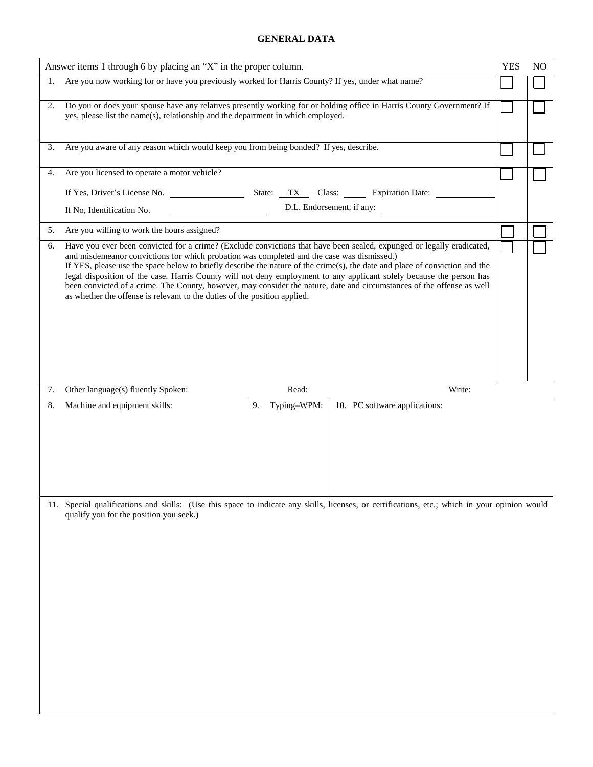## **GENERAL DATA**

|                                                   | Answer items 1 through 6 by placing an "X" in the proper column.                                                                                                                                                                                                                                                                                                                                                                                                                                                                                                                                                                                                                  |                               |  |  |  |  |  |  |  |
|---------------------------------------------------|-----------------------------------------------------------------------------------------------------------------------------------------------------------------------------------------------------------------------------------------------------------------------------------------------------------------------------------------------------------------------------------------------------------------------------------------------------------------------------------------------------------------------------------------------------------------------------------------------------------------------------------------------------------------------------------|-------------------------------|--|--|--|--|--|--|--|
| 1.                                                | Are you now working for or have you previously worked for Harris County? If yes, under what name?                                                                                                                                                                                                                                                                                                                                                                                                                                                                                                                                                                                 |                               |  |  |  |  |  |  |  |
| 2.                                                | Do you or does your spouse have any relatives presently working for or holding office in Harris County Government? If<br>yes, please list the name(s), relationship and the department in which employed.                                                                                                                                                                                                                                                                                                                                                                                                                                                                         |                               |  |  |  |  |  |  |  |
| 3.                                                | Are you aware of any reason which would keep you from being bonded? If yes, describe.                                                                                                                                                                                                                                                                                                                                                                                                                                                                                                                                                                                             |                               |  |  |  |  |  |  |  |
| 4.                                                | Are you licensed to operate a motor vehicle?                                                                                                                                                                                                                                                                                                                                                                                                                                                                                                                                                                                                                                      |                               |  |  |  |  |  |  |  |
|                                                   | State: TX<br>If Yes, Driver's License No.                                                                                                                                                                                                                                                                                                                                                                                                                                                                                                                                                                                                                                         | Class: Expiration Date:       |  |  |  |  |  |  |  |
|                                                   | D.L. Endorsement, if any:<br>If No, Identification No.                                                                                                                                                                                                                                                                                                                                                                                                                                                                                                                                                                                                                            |                               |  |  |  |  |  |  |  |
| Are you willing to work the hours assigned?<br>5. |                                                                                                                                                                                                                                                                                                                                                                                                                                                                                                                                                                                                                                                                                   |                               |  |  |  |  |  |  |  |
| 6.                                                | Have you ever been convicted for a crime? (Exclude convictions that have been sealed, expunged or legally eradicated,<br>and misdemeanor convictions for which probation was completed and the case was dismissed.)<br>If YES, please use the space below to briefly describe the nature of the crime(s), the date and place of conviction and the<br>legal disposition of the case. Harris County will not deny employment to any applicant solely because the person has<br>been convicted of a crime. The County, however, may consider the nature, date and circumstances of the offense as well<br>as whether the offense is relevant to the duties of the position applied. |                               |  |  |  |  |  |  |  |
| 7.                                                | Other language(s) fluently Spoken:<br>Read:                                                                                                                                                                                                                                                                                                                                                                                                                                                                                                                                                                                                                                       | Write:                        |  |  |  |  |  |  |  |
| 8.                                                | Typing-WPM:<br>Machine and equipment skills:<br>9.                                                                                                                                                                                                                                                                                                                                                                                                                                                                                                                                                                                                                                | 10. PC software applications: |  |  |  |  |  |  |  |
|                                                   |                                                                                                                                                                                                                                                                                                                                                                                                                                                                                                                                                                                                                                                                                   |                               |  |  |  |  |  |  |  |
|                                                   | 11. Special qualifications and skills: (Use this space to indicate any skills, licenses, or certifications, etc.; which in your opinion would<br>qualify you for the position you seek.)                                                                                                                                                                                                                                                                                                                                                                                                                                                                                          |                               |  |  |  |  |  |  |  |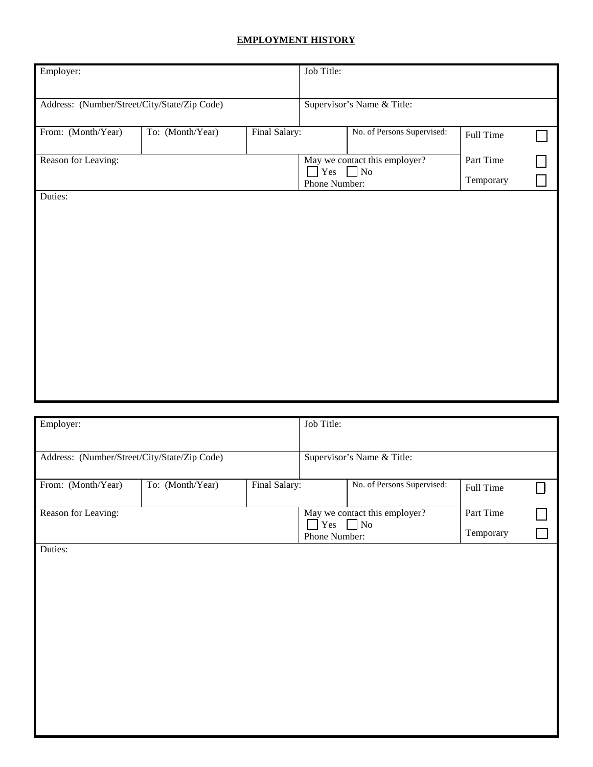# **EMPLOYMENT HISTORY**

| Employer:                                    |                  |               | Job Title:           |                                            |                        |  |
|----------------------------------------------|------------------|---------------|----------------------|--------------------------------------------|------------------------|--|
| Address: (Number/Street/City/State/Zip Code) |                  |               |                      | Supervisor's Name & Title:                 |                        |  |
| From: (Month/Year)                           | To: (Month/Year) | Final Salary: |                      | No. of Persons Supervised:                 | Full Time              |  |
| Reason for Leaving:                          |                  |               | Yes<br>Phone Number: | May we contact this employer?<br>$\Box$ No | Part Time<br>Temporary |  |
| Duties:                                      |                  |               |                      |                                            |                        |  |
|                                              |                  |               |                      |                                            |                        |  |
|                                              |                  |               |                      |                                            |                        |  |
|                                              |                  |               |                      |                                            |                        |  |
|                                              |                  |               |                      |                                            |                        |  |
|                                              |                  |               |                      |                                            |                        |  |
|                                              |                  |               |                      |                                            |                        |  |

| Employer:                                    |                  |               | Job Title:    |                               |           |  |
|----------------------------------------------|------------------|---------------|---------------|-------------------------------|-----------|--|
|                                              |                  |               |               |                               |           |  |
| Address: (Number/Street/City/State/Zip Code) |                  |               |               | Supervisor's Name & Title:    |           |  |
|                                              |                  |               |               |                               |           |  |
| From: (Month/Year)                           | To: (Month/Year) | Final Salary: |               | No. of Persons Supervised:    |           |  |
|                                              |                  |               |               |                               | Full Time |  |
| Reason for Leaving:                          |                  |               |               | May we contact this employer? | Part Time |  |
|                                              |                  |               | Yes           | $\overline{\phantom{a}}$ No   |           |  |
|                                              |                  |               | Phone Number: |                               | Temporary |  |
| Duties:                                      |                  |               |               |                               |           |  |
|                                              |                  |               |               |                               |           |  |
|                                              |                  |               |               |                               |           |  |
|                                              |                  |               |               |                               |           |  |
|                                              |                  |               |               |                               |           |  |
|                                              |                  |               |               |                               |           |  |
|                                              |                  |               |               |                               |           |  |
|                                              |                  |               |               |                               |           |  |
|                                              |                  |               |               |                               |           |  |
|                                              |                  |               |               |                               |           |  |
|                                              |                  |               |               |                               |           |  |
|                                              |                  |               |               |                               |           |  |
|                                              |                  |               |               |                               |           |  |